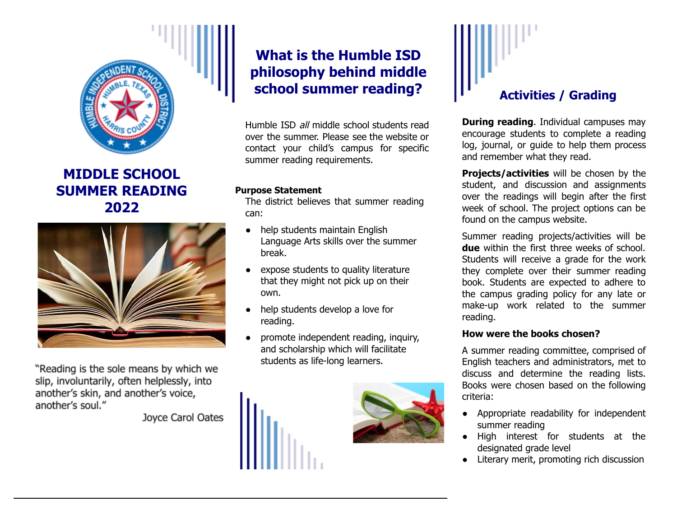

**MIDDLE SCHOOL SUMMER READING 2022**



"Reading is the sole means by which we slip, involuntarily, often helplessly, into another's skin, and another's voice, another's soul."

Joyce Carol Oates

# **What is the Humble ISD philosophy behind middle school summer reading?**

Humble ISD all middle school students read over the summer. Please see the website or contact your child's campus for specific summer reading requirements.

#### **Purpose Statement**

The district believes that summer reading can:

- **●** help students maintain English Language Arts skills over the summer break.
- **●** expose students to quality literature that they might not pick up on their own.
- **●** help students develop a love for reading.
- **●** promote independent reading, inquiry, and scholarship which will facilitate students as life-long learners.





### **Activities / Grading**

**During reading**. Individual campuses may encourage students to complete a reading log, journal, or guide to help them process and remember what they read.

**Projects/activities** will be chosen by the student, and discussion and assignments over the readings will begin after the first week of school. The project options can be found on the campus website.

Summer reading projects/activities will be **due** within the first three weeks of school. Students will receive a grade for the work they complete over their summer reading book. Students are expected to adhere to the campus grading policy for any late or make-up work related to the summer reading.

#### **How were the books chosen?**

A summer reading committee, comprised of English teachers and administrators, met to discuss and determine the reading lists. Books were chosen based on the following criteria:

- **●** Appropriate readability for independent summer reading
- **●** High interest for students at the designated grade level
- **●** Literary merit, promoting rich discussion